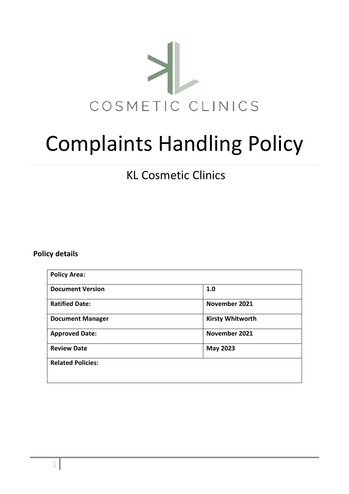

# Complaints Handling Policy

KL Cosmetic Clinics

## <span id="page-0-0"></span>**Policy details**

| <b>Policy Area:</b>      |                         |
|--------------------------|-------------------------|
| <b>Document Version</b>  | 1.0                     |
| <b>Ratified Date:</b>    | November 2021           |
| <b>Document Manager</b>  | <b>Kirsty Whitworth</b> |
| <b>Approved Date:</b>    | November 2021           |
| <b>Review Date</b>       | <b>May 2023</b>         |
| <b>Related Policies:</b> |                         |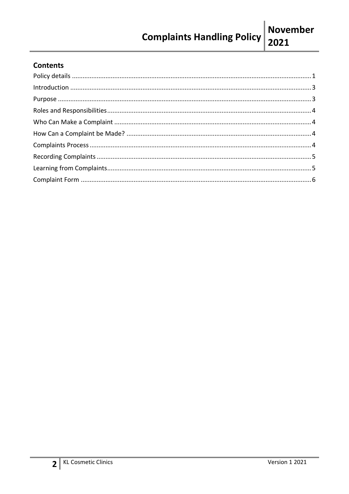## **Contents**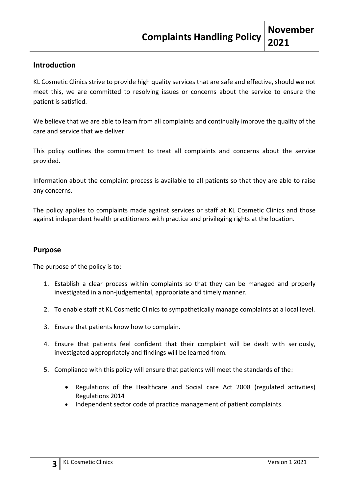## <span id="page-2-0"></span>**Introduction**

KL Cosmetic Clinics strive to provide high quality services that are safe and effective, should we not meet this, we are committed to resolving issues or concerns about the service to ensure the patient is satisfied.

We believe that we are able to learn from all complaints and continually improve the quality of the care and service that we deliver.

This policy outlines the commitment to treat all complaints and concerns about the service provided.

Information about the complaint process is available to all patients so that they are able to raise any concerns.

The policy applies to complaints made against services or staff at KL Cosmetic Clinics and those against independent health practitioners with practice and privileging rights at the location.

#### <span id="page-2-1"></span>**Purpose**

The purpose of the policy is to:

- 1. Establish a clear process within complaints so that they can be managed and properly investigated in a non-judgemental, appropriate and timely manner.
- 2. To enable staff at KL Cosmetic Clinics to sympathetically manage complaints at a local level.
- 3. Ensure that patients know how to complain.
- 4. Ensure that patients feel confident that their complaint will be dealt with seriously, investigated appropriately and findings will be learned from.
- 5. Compliance with this policy will ensure that patients will meet the standards of the:
	- Regulations of the Healthcare and Social care Act 2008 (regulated activities) Regulations 2014
	- Independent sector code of practice management of patient complaints.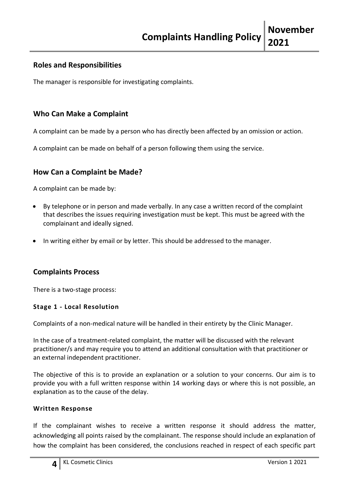## <span id="page-3-0"></span>**Roles and Responsibilities**

The manager is responsible for investigating complaints.

## <span id="page-3-1"></span>**Who Can Make a Complaint**

A complaint can be made by a person who has directly been affected by an omission or action.

<span id="page-3-2"></span>A complaint can be made on behalf of a person following them using the service.

## **How Can a Complaint be Made?**

A complaint can be made by:

- By telephone or in person and made verbally. In any case a written record of the complaint that describes the issues requiring investigation must be kept. This must be agreed with the complainant and ideally signed.
- In writing either by email or by letter. This should be addressed to the manager.

## <span id="page-3-3"></span>**Complaints Process**

There is a two-stage process:

#### **Stage 1 - Local Resolution**

Complaints of a non-medical nature will be handled in their entirety by the Clinic Manager.

In the case of a treatment-related complaint, the matter will be discussed with the relevant practitioner/s and may require you to attend an additional consultation with that practitioner or an external independent practitioner.

The objective of this is to provide an explanation or a solution to your concerns. Our aim is to provide you with a full written response within 14 working days or where this is not possible, an explanation as to the cause of the delay.

#### **Written Response**

If the complainant wishes to receive a written response it should address the matter, acknowledging all points raised by the complainant. The response should include an explanation of how the complaint has been considered, the conclusions reached in respect of each specific part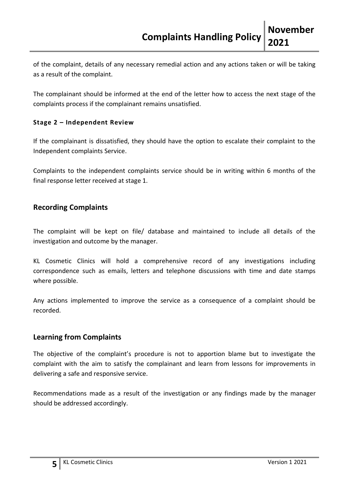of the complaint, details of any necessary remedial action and any actions taken or will be taking as a result of the complaint.

The complainant should be informed at the end of the letter how to access the next stage of the complaints process if the complainant remains unsatisfied.

## **Stage 2 – Independent Review**

If the complainant is dissatisfied, they should have the option to escalate their complaint to the Independent complaints Service.

Complaints to the independent complaints service should be in writing within 6 months of the final response letter received at stage 1.

## <span id="page-4-0"></span>**Recording Complaints**

The complaint will be kept on file/ database and maintained to include all details of the investigation and outcome by the manager.

KL Cosmetic Clinics will hold a comprehensive record of any investigations including correspondence such as emails, letters and telephone discussions with time and date stamps where possible.

Any actions implemented to improve the service as a consequence of a complaint should be recorded.

## <span id="page-4-1"></span>**Learning from Complaints**

The objective of the complaint's procedure is not to apportion blame but to investigate the complaint with the aim to satisfy the complainant and learn from lessons for improvements in delivering a safe and responsive service.

<span id="page-4-2"></span>Recommendations made as a result of the investigation or any findings made by the manager should be addressed accordingly.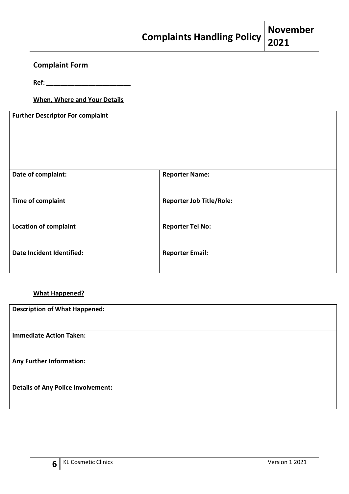# **Complaint Form**

**Ref: \_\_\_\_\_\_\_\_\_\_\_\_\_\_\_\_\_\_\_\_\_\_\_\_**

#### **When, Where and Your Details**

**Further Descriptor For complaint**

| Date of complaint:           | <b>Reporter Name:</b>           |  |
|------------------------------|---------------------------------|--|
| <b>Time of complaint</b>     | <b>Reporter Job Title/Role:</b> |  |
| <b>Location of complaint</b> | <b>Reporter Tel No:</b>         |  |
| Date Incident Identified:    | <b>Reporter Email:</b>          |  |

#### **What Happened?**

| <b>Description of What Happened:</b>      |
|-------------------------------------------|
|                                           |
| <b>Immediate Action Taken:</b>            |
|                                           |
| <b>Any Further Information:</b>           |
|                                           |
| <b>Details of Any Police Involvement:</b> |
|                                           |